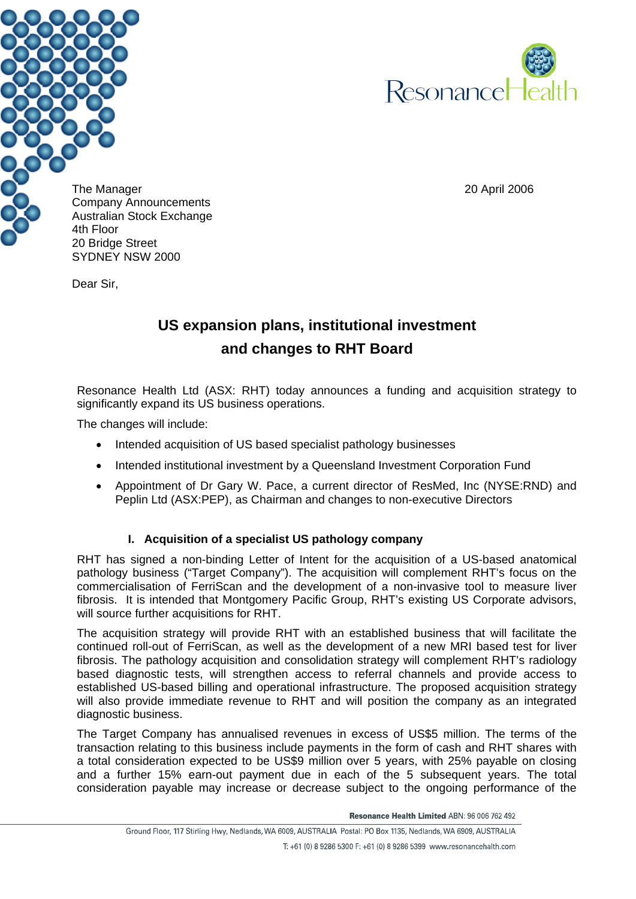



The Manager 20 April 2006 Company Announcements Australian Stock Exchange 20 Bridge Street SYDNEY NSW 2000

Dear Sir,

# **US expansion plans, institutional investment and changes to RHT Board**

Resonance Health Ltd (ASX: RHT) today announces a funding and acquisition strategy to significantly expand its US business operations.

The changes will include:

- Intended acquisition of US based specialist pathology businesses
- Intended institutional investment by a Queensland Investment Corporation Fund
- Appointment of Dr Gary W. Pace, a current director of ResMed, Inc (NYSE:RND) and Peplin Ltd (ASX:PEP), as Chairman and changes to non-executive Directors

# **I. Acquisition of a specialist US pathology company**

RHT has signed a non-binding Letter of Intent for the acquisition of a US-based anatomical pathology business ("Target Company"). The acquisition will complement RHT's focus on the commercialisation of FerriScan and the development of a non-invasive tool to measure liver fibrosis. It is intended that Montgomery Pacific Group, RHT's existing US Corporate advisors, will source further acquisitions for RHT.

The acquisition strategy will provide RHT with an established business that will facilitate the continued roll-out of FerriScan, as well as the development of a new MRI based test for liver fibrosis. The pathology acquisition and consolidation strategy will complement RHT's radiology based diagnostic tests, will strengthen access to referral channels and provide access to established US-based billing and operational infrastructure. The proposed acquisition strategy will also provide immediate revenue to RHT and will position the company as an integrated diagnostic business.

The Target Company has annualised revenues in excess of US\$5 million. The terms of the transaction relating to this business include payments in the form of cash and RHT shares with a total consideration expected to be US\$9 million over 5 years, with 25% payable on closing and a further 15% earn-out payment due in each of the 5 subsequent years. The total consideration payable may increase or decrease subject to the ongoing performance of the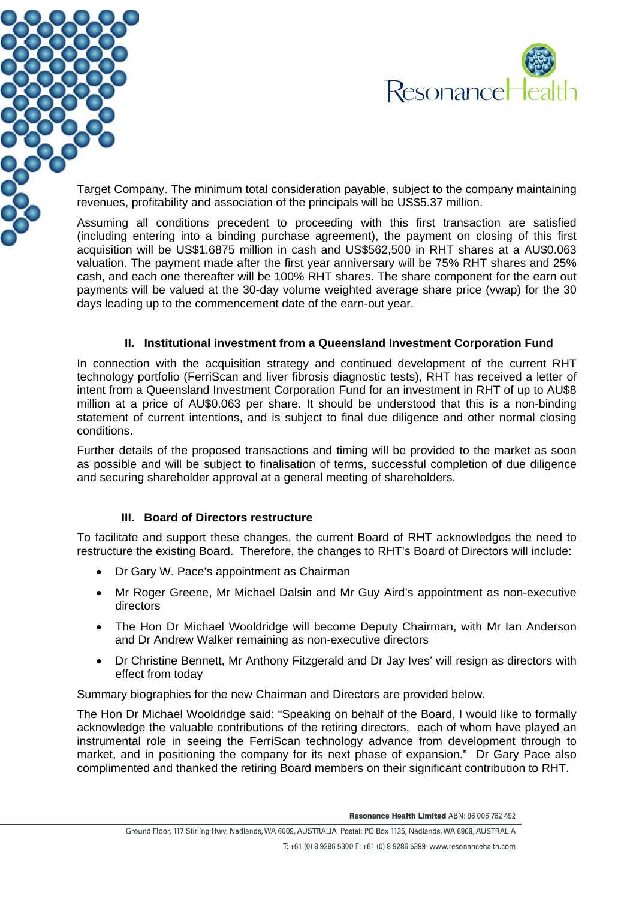



Target Company. The minimum total consideration payable, subject to the company maintaining revenues, profitability and association of the principals will be US\$5.37 million.

Assuming all conditions precedent to proceeding with this first transaction are satisfied (including entering into a binding purchase agreement), the payment on closing of this first acquisition will be US\$1.6875 million in cash and US\$562,500 in RHT shares at a AU\$0.063 valuation. The payment made after the first year anniversary will be 75% RHT shares and 25% cash, and each one thereafter will be 100% RHT shares. The share component for the earn out payments will be valued at the 30-day volume weighted average share price (vwap) for the 30 days leading up to the commencement date of the earn-out year.

## **II. Institutional investment from a Queensland Investment Corporation Fund**

In connection with the acquisition strategy and continued development of the current RHT technology portfolio (FerriScan and liver fibrosis diagnostic tests), RHT has received a letter of intent from a Queensland Investment Corporation Fund for an investment in RHT of up to AU\$8 million at a price of AU\$0.063 per share. It should be understood that this is a non-binding statement of current intentions, and is subject to final due diligence and other normal closing conditions.

Further details of the proposed transactions and timing will be provided to the market as soon as possible and will be subject to finalisation of terms, successful completion of due diligence and securing shareholder approval at a general meeting of shareholders.

# **III. Board of Directors restructure**

To facilitate and support these changes, the current Board of RHT acknowledges the need to restructure the existing Board. Therefore, the changes to RHT's Board of Directors will include:

- Dr Gary W. Pace's appointment as Chairman
- Mr Roger Greene, Mr Michael Dalsin and Mr Guy Aird's appointment as non-executive directors
- The Hon Dr Michael Wooldridge will become Deputy Chairman, with Mr Ian Anderson and Dr Andrew Walker remaining as non-executive directors
- Dr Christine Bennett, Mr Anthony Fitzgerald and Dr Jay Ives' will resign as directors with effect from today

Summary biographies for the new Chairman and Directors are provided below.

The Hon Dr Michael Wooldridge said: "Speaking on behalf of the Board, I would like to formally acknowledge the valuable contributions of the retiring directors, each of whom have played an instrumental role in seeing the FerriScan technology advance from development through to market, and in positioning the company for its next phase of expansion." Dr Gary Pace also complimented and thanked the retiring Board members on their significant contribution to RHT.

Resonance Health Limited ABN: 96 006 762 492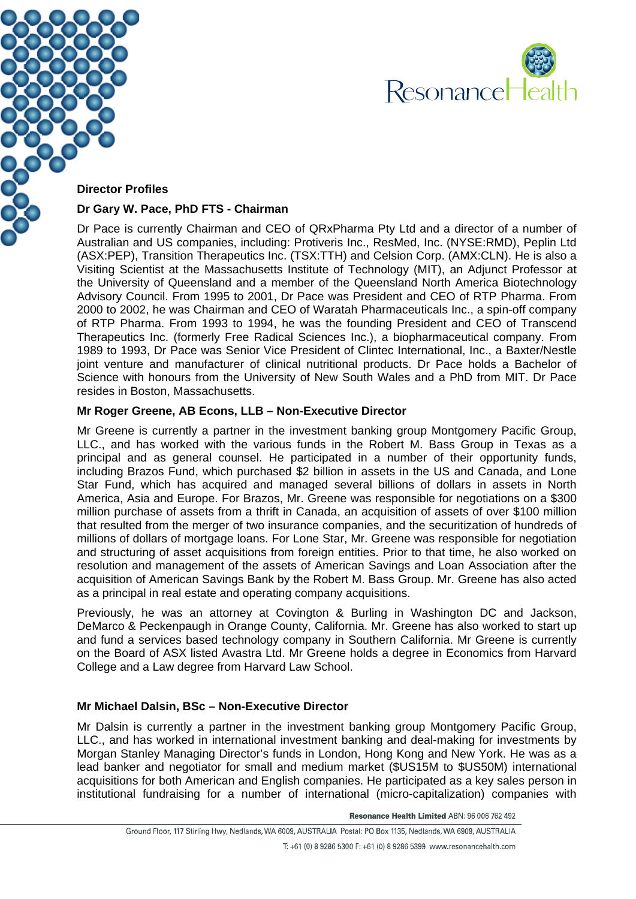



#### **Director Profiles**

#### **Dr Gary W. Pace, PhD FTS - Chairman**

Dr Pace is currently Chairman and CEO of QRxPharma Pty Ltd and a director of a number of Australian and US companies, including: Protiveris Inc., ResMed, Inc. (NYSE:RMD), Peplin Ltd (ASX:PEP), Transition Therapeutics Inc. (TSX:TTH) and Celsion Corp. (AMX:CLN). He is also a Visiting Scientist at the Massachusetts Institute of Technology (MIT), an Adjunct Professor at the University of Queensland and a member of the Queensland North America Biotechnology Advisory Council. From 1995 to 2001, Dr Pace was President and CEO of RTP Pharma. From 2000 to 2002, he was Chairman and CEO of Waratah Pharmaceuticals Inc., a spin-off company of RTP Pharma. From 1993 to 1994, he was the founding President and CEO of Transcend Therapeutics Inc. (formerly Free Radical Sciences Inc.), a biopharmaceutical company. From 1989 to 1993, Dr Pace was Senior Vice President of Clintec International, Inc., a Baxter/Nestle joint venture and manufacturer of clinical nutritional products. Dr Pace holds a Bachelor of Science with honours from the University of New South Wales and a PhD from MIT. Dr Pace resides in Boston, Massachusetts.

#### **Mr Roger Greene, AB Econs, LLB – Non-Executive Director**

Mr Greene is currently a partner in the investment banking group Montgomery Pacific Group, LLC., and has worked with the various funds in the Robert M. Bass Group in Texas as a principal and as general counsel. He participated in a number of their opportunity funds, including Brazos Fund, which purchased \$2 billion in assets in the US and Canada, and Lone Star Fund, which has acquired and managed several billions of dollars in assets in North America, Asia and Europe. For Brazos, Mr. Greene was responsible for negotiations on a \$300 million purchase of assets from a thrift in Canada, an acquisition of assets of over \$100 million that resulted from the merger of two insurance companies, and the securitization of hundreds of millions of dollars of mortgage loans. For Lone Star, Mr. Greene was responsible for negotiation and structuring of asset acquisitions from foreign entities. Prior to that time, he also worked on resolution and management of the assets of American Savings and Loan Association after the acquisition of American Savings Bank by the Robert M. Bass Group. Mr. Greene has also acted as a principal in real estate and operating company acquisitions.

Previously, he was an attorney at Covington & Burling in Washington DC and Jackson, DeMarco & Peckenpaugh in Orange County, California. Mr. Greene has also worked to start up and fund a services based technology company in Southern California. Mr Greene is currently on the Board of ASX listed Avastra Ltd. Mr Greene holds a degree in Economics from Harvard College and a Law degree from Harvard Law School.

#### **Mr Michael Dalsin, BSc – Non-Executive Director**

Mr Dalsin is currently a partner in the investment banking group Montgomery Pacific Group, LLC., and has worked in international investment banking and deal-making for investments by Morgan Stanley Managing Director's funds in London, Hong Kong and New York. He was as a lead banker and negotiator for small and medium market (\$US15M to \$US50M) international acquisitions for both American and English companies. He participated as a key sales person in institutional fundraising for a number of international (micro-capitalization) companies with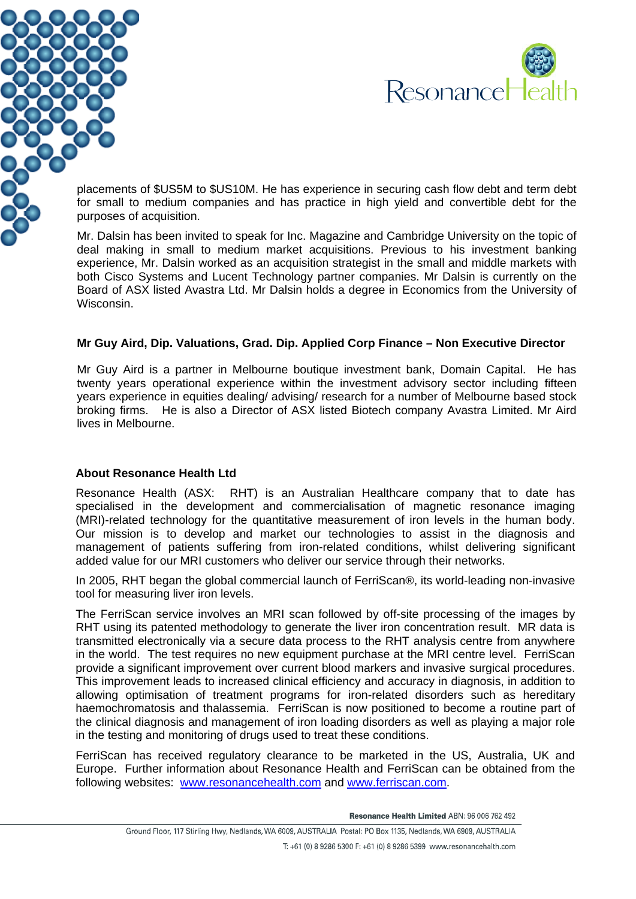



placements of \$US5M to \$US10M. He has experience in securing cash flow debt and term debt for small to medium companies and has practice in high yield and convertible debt for the purposes of acquisition.

Mr. Dalsin has been invited to speak for Inc. Magazine and Cambridge University on the topic of deal making in small to medium market acquisitions. Previous to his investment banking experience, Mr. Dalsin worked as an acquisition strategist in the small and middle markets with both Cisco Systems and Lucent Technology partner companies. Mr Dalsin is currently on the Board of ASX listed Avastra Ltd. Mr Dalsin holds a degree in Economics from the University of Wisconsin.

## **Mr Guy Aird, Dip. Valuations, Grad. Dip. Applied Corp Finance – Non Executive Director**

Mr Guy Aird is a partner in Melbourne boutique investment bank, Domain Capital. He has twenty years operational experience within the investment advisory sector including fifteen years experience in equities dealing/ advising/ research for a number of Melbourne based stock broking firms. He is also a Director of ASX listed Biotech company Avastra Limited. Mr Aird lives in Melbourne.

#### **About Resonance Health Ltd**

Resonance Health (ASX: RHT) is an Australian Healthcare company that to date has specialised in the development and commercialisation of magnetic resonance imaging (MRI)-related technology for the quantitative measurement of iron levels in the human body. Our mission is to develop and market our technologies to assist in the diagnosis and management of patients suffering from iron-related conditions, whilst delivering significant added value for our MRI customers who deliver our service through their networks.

In 2005, RHT began the global commercial launch of FerriScan®, its world-leading non-invasive tool for measuring liver iron levels.

The FerriScan service involves an MRI scan followed by off-site processing of the images by RHT using its patented methodology to generate the liver iron concentration result. MR data is transmitted electronically via a secure data process to the RHT analysis centre from anywhere in the world. The test requires no new equipment purchase at the MRI centre level. FerriScan provide a significant improvement over current blood markers and invasive surgical procedures. This improvement leads to increased clinical efficiency and accuracy in diagnosis, in addition to allowing optimisation of treatment programs for iron-related disorders such as hereditary haemochromatosis and thalassemia. FerriScan is now positioned to become a routine part of the clinical diagnosis and management of iron loading disorders as well as playing a major role in the testing and monitoring of drugs used to treat these conditions.

FerriScan has received regulatory clearance to be marketed in the US, Australia, UK and Europe. Further information about Resonance Health and FerriScan can be obtained from the following websites: [www.resonancehealth.com](http://www.resonancehealth.com/) and [www.ferriscan.com](http://www.ferriscan.com/).